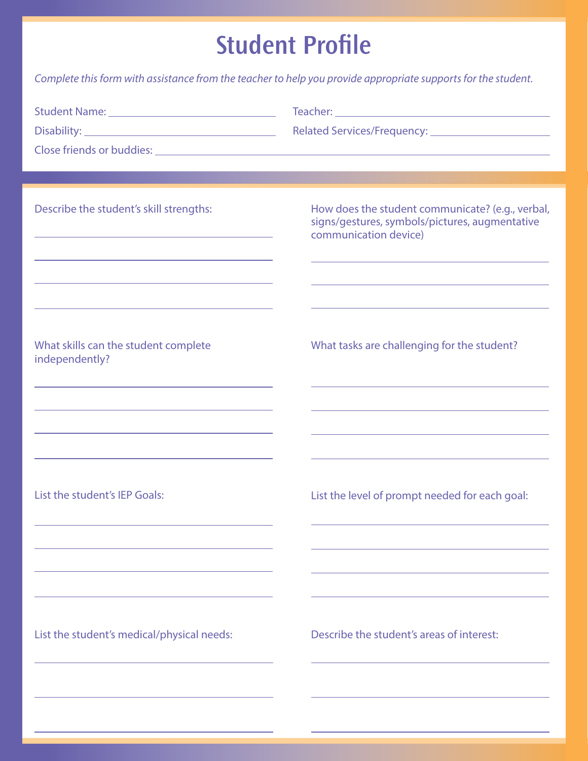## **Student Profile**

*Complete this form with assistance from the teacher to help you provide appropriate supports for the student.*

| Describe the student's skill strengths:<br><u> 1989 - Johann Stein, marwolaethau a bhann an t-Amhainn an t-Amhainn an t-Amhainn an t-Amhainn an t-Amhainn an</u><br>the control of the control of the control of the control of the control of the control of<br>and the control of the control of the control of the control of the control of the control of the control of the                     | How does the student communicate? (e.g., verbal,<br>signs/gestures, symbols/pictures, augmentative<br>communication device) |
|-------------------------------------------------------------------------------------------------------------------------------------------------------------------------------------------------------------------------------------------------------------------------------------------------------------------------------------------------------------------------------------------------------|-----------------------------------------------------------------------------------------------------------------------------|
| the control of the control of the control of the control of the control of the control of the control of the control of the control of the control of the control of the control of the control of the control of the control<br>What skills can the student complete<br>independently?                                                                                                               | What tasks are challenging for the student?                                                                                 |
| the control of the control of the control of the control of the control of the control of<br>and the control of the control of the control of the control of the control of the control of the control of the<br>and the control of the control of the control of the control of the control of the control of the control of the<br><u> 1989 - Johann John Stone, Amerikaansk politiker († 1908)</u> | the control of the control of the control of the control of the control of the control of                                   |
| List the student's IEP Goals:                                                                                                                                                                                                                                                                                                                                                                         | List the level of prompt needed for each goal:                                                                              |
| List the student's medical/physical needs:                                                                                                                                                                                                                                                                                                                                                            | Describe the student's areas of interest:                                                                                   |
|                                                                                                                                                                                                                                                                                                                                                                                                       |                                                                                                                             |